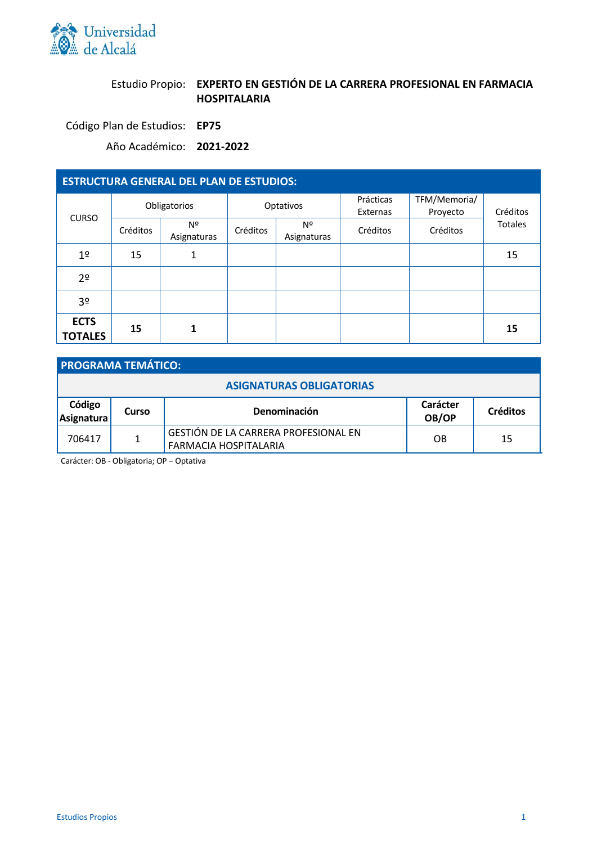

# Estudio Propio: **EXPERTO EN GESTIÓN DE LA CARRERA PROFESIONAL EN FARMACIA HOSPITALARIA**

Código Plan de Estudios: **EP75**

Año Académico: **2021-2022**

| <b>ESTRUCTURA GENERAL DEL PLAN DE ESTUDIOS:</b> |              |                   |           |                   |                       |                          |                |
|-------------------------------------------------|--------------|-------------------|-----------|-------------------|-----------------------|--------------------------|----------------|
| <b>CURSO</b>                                    | Obligatorios |                   | Optativos |                   | Prácticas<br>Externas | TFM/Memoria/<br>Proyecto | Créditos       |
|                                                 | Créditos     | Nº<br>Asignaturas | Créditos  | Nº<br>Asignaturas | Créditos              | Créditos                 | <b>Totales</b> |
| 1 <sup>o</sup>                                  | 15           |                   |           |                   |                       |                          | 15             |
| 2 <sup>o</sup>                                  |              |                   |           |                   |                       |                          |                |
| 3 <sup>o</sup>                                  |              |                   |           |                   |                       |                          |                |
| <b>ECTS</b><br><b>TOTALES</b>                   | 15           | 1                 |           |                   |                       |                          | 15             |

| <b>PROGRAMA TEMÁTICO:</b> |       |                                                                      |                   |                 |  |
|---------------------------|-------|----------------------------------------------------------------------|-------------------|-----------------|--|
|                           |       | <b>ASIGNATURAS OBLIGATORIAS</b>                                      |                   |                 |  |
| Código<br>Asignatura      | Curso | Denominación                                                         | Carácter<br>OB/OP | <b>Créditos</b> |  |
| 706417                    | 1     | <b>GESTIÓN DE LA CARRERA PROFESIONAL EN</b><br>FARMACIA HOSPITALARIA | OB                | 15              |  |

Carácter: OB - Obligatoria; OP – Optativa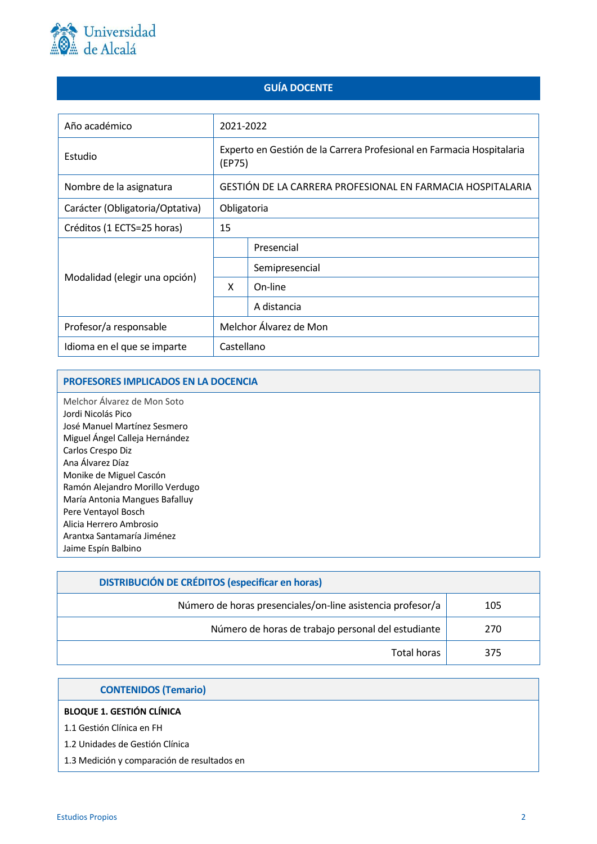

## **GUÍA DOCENTE**

| Año académico                   | 2021-2022                                                                       |                |  |  |
|---------------------------------|---------------------------------------------------------------------------------|----------------|--|--|
| Estudio                         | Experto en Gestión de la Carrera Profesional en Farmacia Hospitalaria<br>(EP75) |                |  |  |
| Nombre de la asignatura         | GESTIÓN DE LA CARRERA PROFESIONAL EN FARMACIA HOSPITALARIA                      |                |  |  |
| Carácter (Obligatoria/Optativa) | Obligatoria                                                                     |                |  |  |
| Créditos (1 ECTS=25 horas)      | 15                                                                              |                |  |  |
|                                 |                                                                                 | Presencial     |  |  |
|                                 |                                                                                 | Semipresencial |  |  |
| Modalidad (elegir una opción)   | X                                                                               | On-line        |  |  |
|                                 |                                                                                 | A distancia    |  |  |
| Profesor/a responsable          | Melchor Álvarez de Mon                                                          |                |  |  |
| Idioma en el que se imparte     | Castellano                                                                      |                |  |  |

## **PROFESORES IMPLICADOS EN LA DOCENCIA**

Melchor Álvarez de Mon Soto Jordi Nicolás Pico José Manuel Martínez Sesmero Miguel Ángel Calleja Hernández Carlos Crespo Diz Ana Álvarez Díaz Monike de Miguel Cascón Ramón Alejandro Morillo Verdugo María Antonia Mangues Bafalluy Pere Ventayol Bosch Alicia Herrero Ambrosio Arantxa Santamaría Jiménez Jaime Espín Balbino

| <b>DISTRIBUCIÓN DE CRÉDITOS (especificar en horas)</b>     |     |
|------------------------------------------------------------|-----|
| Número de horas presenciales/on-line asistencia profesor/a | 105 |
| Número de horas de trabajo personal del estudiante         | 270 |
| Total horas                                                | 375 |

| <b>CONTENIDOS (Temario)</b>                 |
|---------------------------------------------|
| <b>BLOQUE 1. GESTIÓN CLÍNICA</b>            |
| 1.1 Gestión Clínica en FH                   |
| 1.2 Unidades de Gestión Clínica             |
| 1.3 Medición y comparación de resultados en |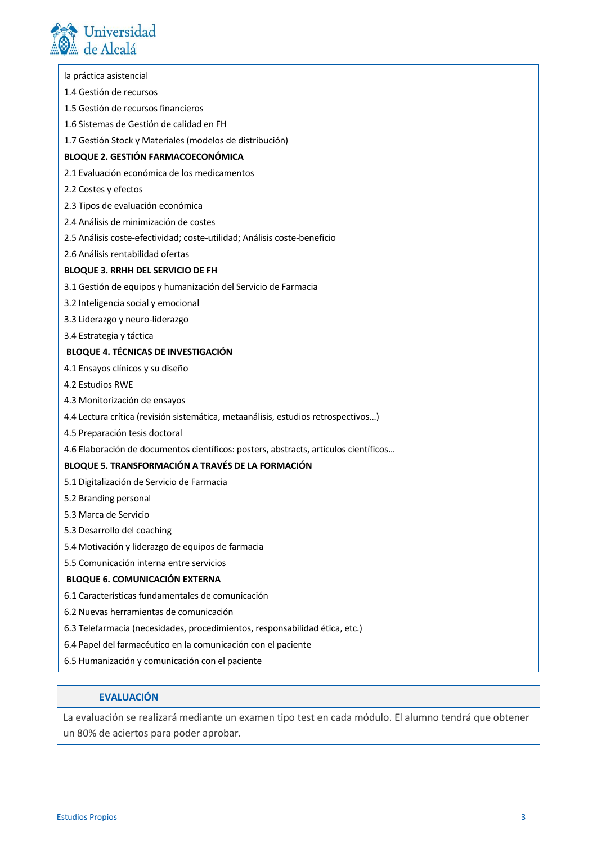

| la práctica asistencial                                                              |
|--------------------------------------------------------------------------------------|
| 1.4 Gestión de recursos                                                              |
| 1.5 Gestión de recursos financieros                                                  |
| 1.6 Sistemas de Gestión de calidad en FH                                             |
| 1.7 Gestión Stock y Materiales (modelos de distribución)                             |
| <b>BLOQUE 2. GESTIÓN FARMACOECONÓMICA</b>                                            |
| 2.1 Evaluación económica de los medicamentos                                         |
| 2.2 Costes y efectos                                                                 |
| 2.3 Tipos de evaluación económica                                                    |
| 2.4 Análisis de minimización de costes                                               |
| 2.5 Análisis coste-efectividad; coste-utilidad; Análisis coste-beneficio             |
| 2.6 Análisis rentabilidad ofertas                                                    |
| <b>BLOQUE 3. RRHH DEL SERVICIO DE FH</b>                                             |
| 3.1 Gestión de equipos y humanización del Servicio de Farmacia                       |
| 3.2 Inteligencia social y emocional                                                  |
| 3.3 Liderazgo y neuro-liderazgo                                                      |
| 3.4 Estrategia y táctica                                                             |
| <b>BLOQUE 4. TÉCNICAS DE INVESTIGACIÓN</b>                                           |
| 4.1 Ensayos clínicos y su diseño                                                     |
| 4.2 Estudios RWE                                                                     |
| 4.3 Monitorización de ensayos                                                        |
| 4.4 Lectura crítica (revisión sistemática, metaanálisis, estudios retrospectivos)    |
| 4.5 Preparación tesis doctoral                                                       |
| 4.6 Elaboración de documentos científicos: posters, abstracts, artículos científicos |
| BLOQUE 5. TRANSFORMACIÓN A TRAVÉS DE LA FORMACIÓN                                    |
| 5.1 Digitalización de Servicio de Farmacia                                           |
| 5.2 Branding personal                                                                |

- 5.3 Marca de Servicio
- 5.3 Desarrollo del coaching
- 5.4 Motivación y liderazgo de equipos de farmacia
- 5.5 Comunicación interna entre servicios

#### **BLOQUE 6. COMUNICACIÓN EXTERNA**

- 6.1 Características fundamentales de comunicación
- 6.2 Nuevas herramientas de comunicación
- 6.3 Telefarmacia (necesidades, procedimientos, responsabilidad ética, etc.)
- 6.4 Papel del farmacéutico en la comunicación con el paciente
- 6.5 Humanización y comunicación con el paciente

## **EVALUACIÓN**

La evaluación se realizará mediante un examen tipo test en cada módulo. El alumno tendrá que obtener un 80% de aciertos para poder aprobar.